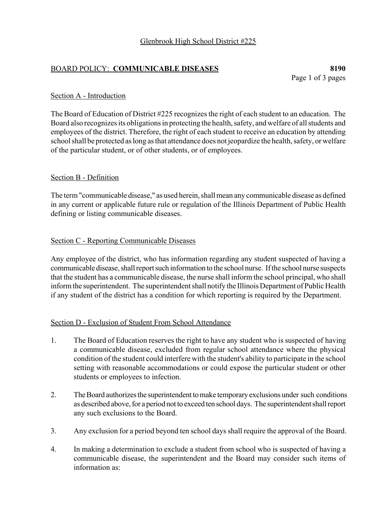### BOARD POLICY: **COMMUNICABLE DISEASES 8190**

#### Section A - Introduction

The Board of Education of District #225 recognizes the right of each student to an education. The Board also recognizes its obligations in protecting the health, safety, and welfare of all students and employees of the district. Therefore, the right of each student to receive an education by attending school shall be protected as long as that attendance does not jeopardize the health, safety, or welfare of the particular student, or of other students, or of employees.

### Section B - Definition

The term "communicable disease," as used herein, shall mean any communicable disease as defined in any current or applicable future rule or regulation of the Illinois Department of Public Health defining or listing communicable diseases.

### Section C - Reporting Communicable Diseases

Any employee of the district, who has information regarding any student suspected of having a communicable disease, shall report such information to the school nurse. If the school nurse suspects that the student has a communicable disease, the nurse shall inform the school principal, who shall inform the superintendent. The superintendent shall notify the Illinois Department of Public Health if any student of the district has a condition for which reporting is required by the Department.

### Section D - Exclusion of Student From School Attendance

- 1. The Board of Education reserves the right to have any student who is suspected of having a communicable disease, excluded from regular school attendance where the physical condition of the student could interfere with the student's ability to participate in the school setting with reasonable accommodations or could expose the particular student or other students or employees to infection.
- 2. The Board authorizes the superintendent to make temporary exclusions under such conditions as described above, for a period not to exceed ten school days. The superintendent shall report any such exclusions to the Board.
- 3. Any exclusion for a period beyond ten school days shall require the approval of the Board.
- 4. In making a determination to exclude a student from school who is suspected of having a communicable disease, the superintendent and the Board may consider such items of information as: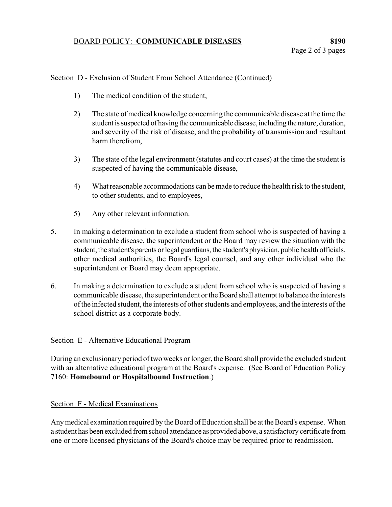# BOARD POLICY: **COMMUNICABLE DISEASES 8190**

### Section D - Exclusion of Student From School Attendance (Continued)

- 1) The medical condition of the student,
- 2) The state of medical knowledge concerning the communicable disease at the time the student is suspected of having the communicable disease, including the nature, duration, and severity of the risk of disease, and the probability of transmission and resultant harm therefrom,
- 3) The state of the legal environment (statutes and court cases) at the time the student is suspected of having the communicable disease,
- 4) What reasonable accommodations can be made to reduce the health risk to the student, to other students, and to employees,
- 5) Any other relevant information.
- 5. In making a determination to exclude a student from school who is suspected of having a communicable disease, the superintendent or the Board may review the situation with the student, the student's parents or legal guardians, the student's physician, public health officials, other medical authorities, the Board's legal counsel, and any other individual who the superintendent or Board may deem appropriate.
- 6. In making a determination to exclude a student from school who is suspected of having a communicable disease, the superintendent or the Board shall attempt to balance the interests of the infected student, the interests of other students and employees, and the interests of the school district as a corporate body.

# Section E - Alternative Educational Program

During an exclusionary period of two weeks or longer, the Board shall provide the excluded student with an alternative educational program at the Board's expense. (See Board of Education Policy 7160: **Homebound or Hospitalbound Instruction**.)

# Section F - Medical Examinations

Any medical examination required by the Board of Education shall be at the Board's expense. When a student has been excluded from school attendance as provided above, a satisfactory certificate from one or more licensed physicians of the Board's choice may be required prior to readmission.